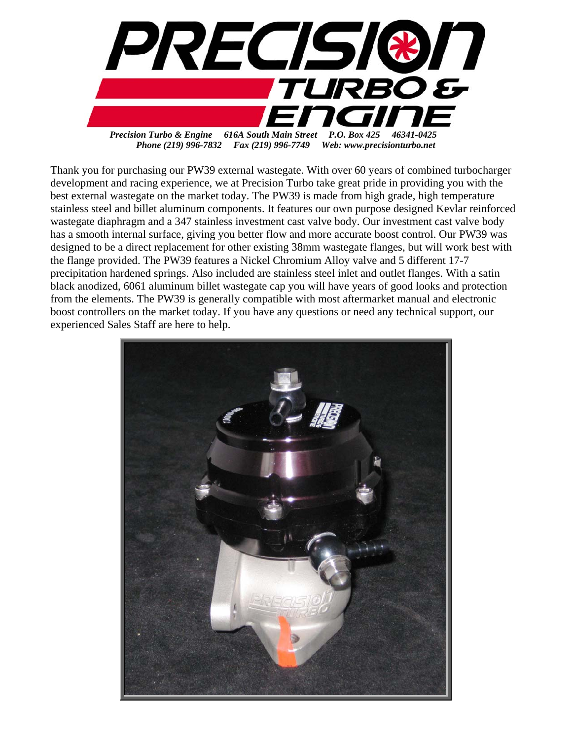

Thank you for purchasing our PW39 external wastegate. With over 60 years of combined turbocharger development and racing experience, we at Precision Turbo take great pride in providing you with the best external wastegate on the market today. The PW39 is made from high grade, high temperature stainless steel and billet aluminum components. It features our own purpose designed Kevlar reinforced wastegate diaphragm and a 347 stainless investment cast valve body. Our investment cast valve body has a smooth internal surface, giving you better flow and more accurate boost control. Our PW39 was designed to be a direct replacement for other existing 38mm wastegate flanges, but will work best with the flange provided. The PW39 features a Nickel Chromium Alloy valve and 5 different 17-7 precipitation hardened springs. Also included are stainless steel inlet and outlet flanges. With a satin black anodized, 6061 aluminum billet wastegate cap you will have years of good looks and protection from the elements. The PW39 is generally compatible with most aftermarket manual and electronic boost controllers on the market today. If you have any questions or need any technical support, our experienced Sales Staff are here to help. Ī

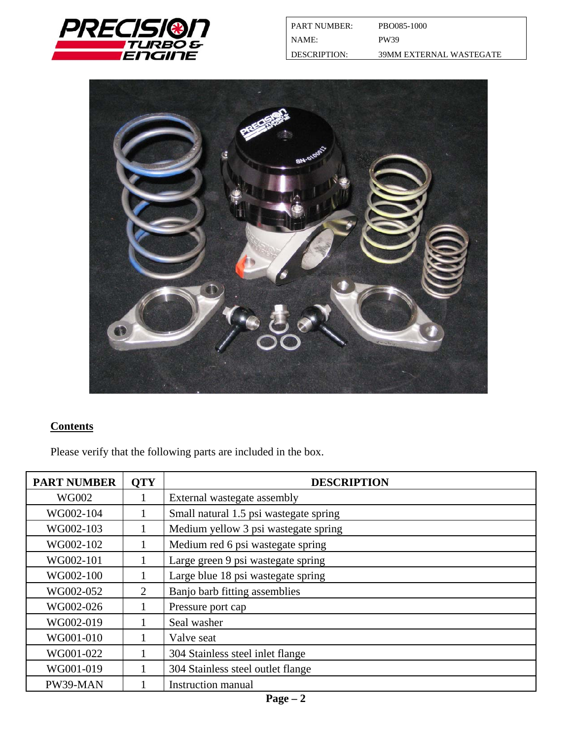



# **Contents**

Please verify that the following parts are included in the box.

| <b>PART NUMBER</b> | <b>QTY</b>     | <b>DESCRIPTION</b>                     |
|--------------------|----------------|----------------------------------------|
| <b>WG002</b>       |                | External wastegate assembly            |
| WG002-104          |                | Small natural 1.5 psi wastegate spring |
| WG002-103          |                | Medium yellow 3 psi wastegate spring   |
| WG002-102          |                | Medium red 6 psi wastegate spring      |
| WG002-101          |                | Large green 9 psi wastegate spring     |
| WG002-100          |                | Large blue 18 psi wastegate spring     |
| WG002-052          | $\overline{2}$ | Banjo barb fitting assemblies          |
| WG002-026          |                | Pressure port cap                      |
| WG002-019          |                | Seal washer                            |
| WG001-010          |                | Valve seat                             |
| WG001-022          |                | 304 Stainless steel inlet flange       |
| WG001-019          |                | 304 Stainless steel outlet flange      |
| PW39-MAN           |                | <b>Instruction manual</b>              |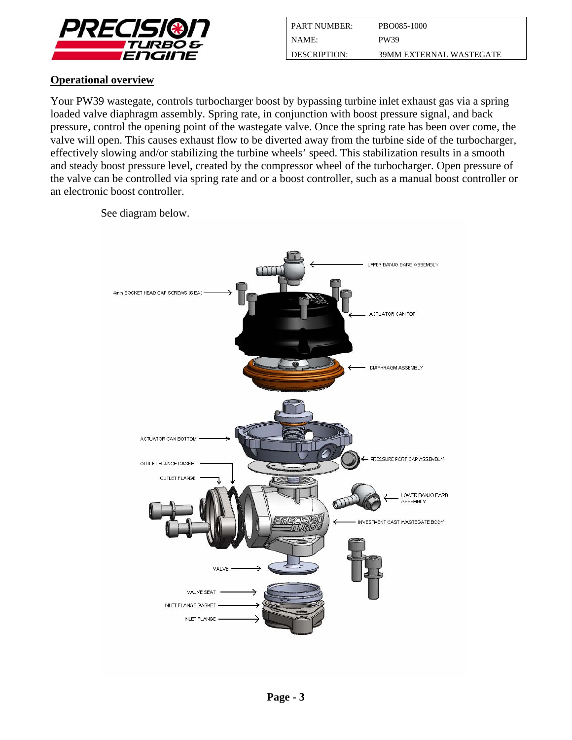

| I PART NUMBER:      | PBO085-1000             |
|---------------------|-------------------------|
| I NAME:             | PW39                    |
| <b>DESCRIPTION:</b> | 39MM EXTERNAL WASTEGATE |

## **Operational overview**

Your PW39 wastegate, controls turbocharger boost by bypassing turbine inlet exhaust gas via a spring loaded valve diaphragm assembly. Spring rate, in conjunction with boost pressure signal, and back pressure, control the opening point of the wastegate valve. Once the spring rate has been over come, the valve will open. This causes exhaust flow to be diverted away from the turbine side of the turbocharger, effectively slowing and/or stabilizing the turbine wheels' speed. This stabilization results in a smooth and steady boost pressure level, created by the compressor wheel of the turbocharger. Open pressure of the valve can be controlled via spring rate and or a boost controller, such as a manual boost controller or an electronic boost controller.



See diagram below.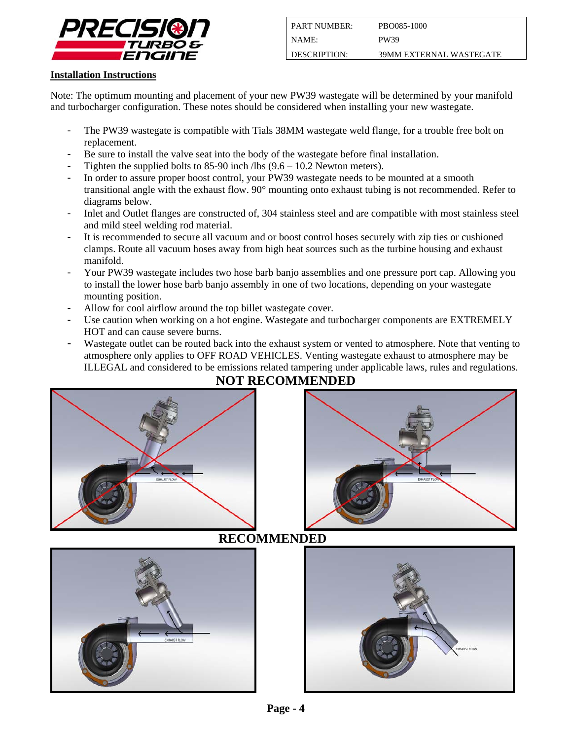

#### **Installation Instructions**

Note: The optimum mounting and placement of your new PW39 wastegate will be determined by your manifold and turbocharger configuration. These notes should be considered when installing your new wastegate.

- The PW39 wastegate is compatible with Tials 38MM wastegate weld flange, for a trouble free bolt on replacement.
- Be sure to install the valve seat into the body of the wastegate before final installation.
- Tighten the supplied bolts to  $85-90$  inch /lbs  $(9.6 10.2$  Newton meters).
- In order to assure proper boost control, your PW39 wastegate needs to be mounted at a smooth transitional angle with the exhaust flow. 90° mounting onto exhaust tubing is not recommended. Refer to diagrams below.
- Inlet and Outlet flanges are constructed of, 304 stainless steel and are compatible with most stainless steel and mild steel welding rod material.
- It is recommended to secure all vacuum and or boost control hoses securely with zip ties or cushioned clamps. Route all vacuum hoses away from high heat sources such as the turbine housing and exhaust manifold.
- Your PW39 wastegate includes two hose barb banjo assemblies and one pressure port cap. Allowing you to install the lower hose barb banjo assembly in one of two locations, depending on your wastegate mounting position.
- Allow for cool airflow around the top billet wastegate cover.
- Use caution when working on a hot engine. Wastegate and turbocharger components are EXTREMELY HOT and can cause severe burns.
- Wastegate outlet can be routed back into the exhaust system or vented to atmosphere. Note that venting to atmosphere only applies to OFF ROAD VEHICLES. Venting wastegate exhaust to atmosphere may be ILLEGAL and considered to be emissions related tampering under applicable laws, rules and regulations.



# **NOT RECOMMENDED**





## **RECOMMENDED**

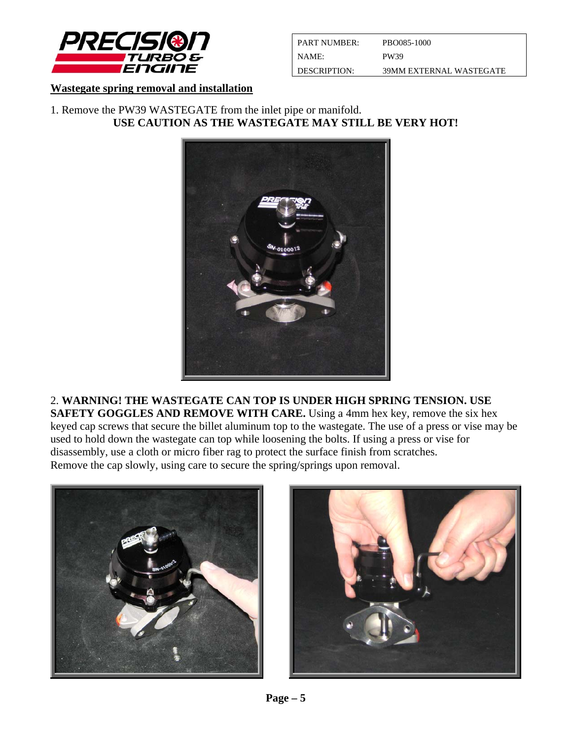

| <b>PART NUMBER:</b> | PBO085-1000             |
|---------------------|-------------------------|
| I NAME:             | <b>PW39</b>             |
| L DESCRIPTION:      | 39MM EXTERNAL WASTEGATE |

#### **Wastegate spring removal and installation**

1. Remove the PW39 WASTEGATE from the inlet pipe or manifold. **USE CAUTION AS THE WASTEGATE MAY STILL BE VERY HOT!** 



2. **WARNING! THE WASTEGATE CAN TOP IS UNDER HIGH SPRING TENSION. USE SAFETY GOGGLES AND REMOVE WITH CARE.** Using a 4mm hex key, remove the six hex keyed cap screws that secure the billet aluminum top to the wastegate. The use of a press or vise may be used to hold down the wastegate can top while loosening the bolts. If using a press or vise for disassembly, use a cloth or micro fiber rag to protect the surface finish from scratches. Remove the cap slowly, using care to secure the spring/springs upon removal.



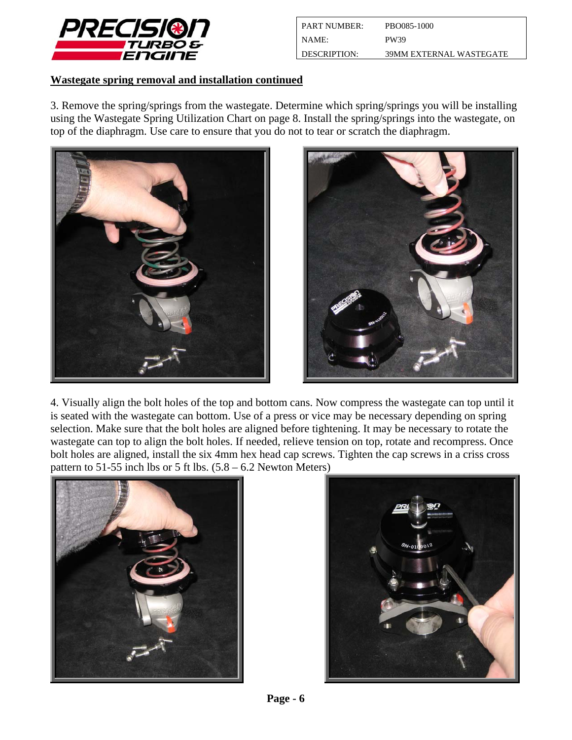

| <b>PART NUMBER:</b> | PBO085-1000             |
|---------------------|-------------------------|
| I NAME:             | <b>PW39</b>             |
| <b>DESCRIPTION:</b> | 39MM EXTERNAL WASTEGATE |

### **Wastegate spring removal and installation continued**

3. Remove the spring/springs from the wastegate. Determine which spring/springs you will be installing using the Wastegate Spring Utilization Chart on page 8. Install the spring/springs into the wastegate, on top of the diaphragm. Use care to ensure that you do not to tear or scratch the diaphragm.





4. Visually align the bolt holes of the top and bottom cans. Now compress the wastegate can top until it is seated with the wastegate can bottom. Use of a press or vice may be necessary depending on spring selection. Make sure that the bolt holes are aligned before tightening. It may be necessary to rotate the wastegate can top to align the bolt holes. If needed, relieve tension on top, rotate and recompress. Once bolt holes are aligned, install the six 4mm hex head cap screws. Tighten the cap screws in a criss cross pattern to 51-55 inch lbs or 5 ft lbs.  $(5.8 - 6.2$  Newton Meters)



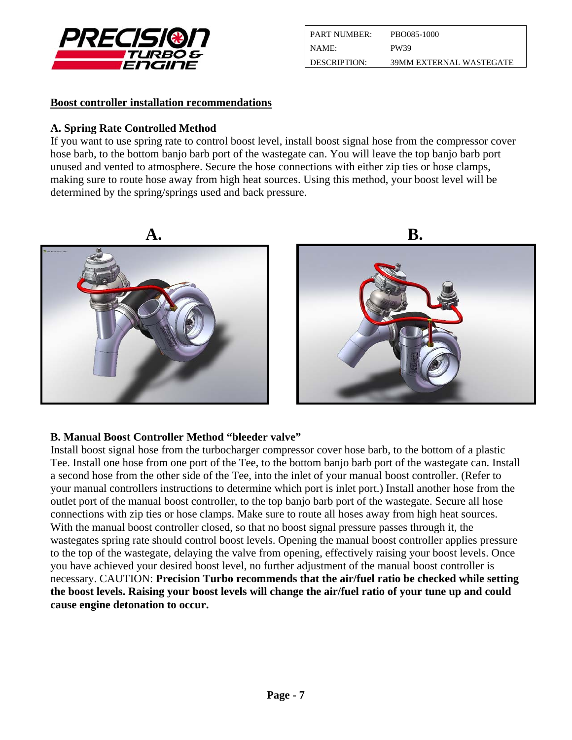

| <b>PART NUMBER:</b> | PBO085-1000             |
|---------------------|-------------------------|
| NAME:               | PW39                    |
| DESCRIPTION:        | 39MM EXTERNAL WASTEGATE |

### **Boost controller installation recommendations**

### **A. Spring Rate Controlled Method**

If you want to use spring rate to control boost level, install boost signal hose from the compressor cover hose barb, to the bottom banjo barb port of the wastegate can. You will leave the top banjo barb port unused and vented to atmosphere. Secure the hose connections with either zip ties or hose clamps, making sure to route hose away from high heat sources. Using this method, your boost level will be determined by the spring/springs used and back pressure.



## **B. Manual Boost Controller Method "bleeder valve"**

Install boost signal hose from the turbocharger compressor cover hose barb, to the bottom of a plastic Tee. Install one hose from one port of the Tee, to the bottom banjo barb port of the wastegate can. Install a second hose from the other side of the Tee, into the inlet of your manual boost controller. (Refer to your manual controllers instructions to determine which port is inlet port.) Install another hose from the outlet port of the manual boost controller, to the top banjo barb port of the wastegate. Secure all hose connections with zip ties or hose clamps. Make sure to route all hoses away from high heat sources. With the manual boost controller closed, so that no boost signal pressure passes through it, the wastegates spring rate should control boost levels. Opening the manual boost controller applies pressure to the top of the wastegate, delaying the valve from opening, effectively raising your boost levels. Once you have achieved your desired boost level, no further adjustment of the manual boost controller is necessary. CAUTION: **Precision Turbo recommends that the air/fuel ratio be checked while setting the boost levels. Raising your boost levels will change the air/fuel ratio of your tune up and could cause engine detonation to occur.**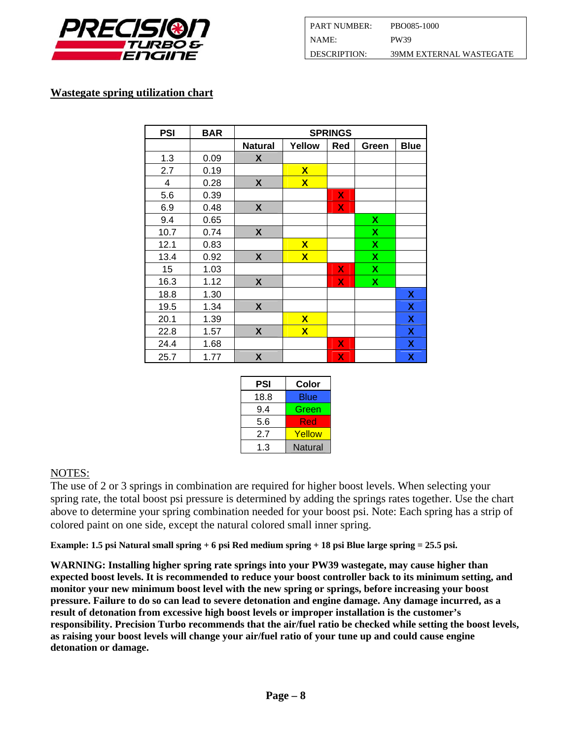

| <b>PART NUMBER:</b> | PBO085-1000             |
|---------------------|-------------------------|
| NAME:               | PW39                    |
| DESCRIPTION:        | 39MM EXTERNAL WASTEGATE |

### **Wastegate spring utilization chart**

| <b>PSI</b>              | <b>BAR</b> | <b>SPRINGS</b>   |                         |     |                           |             |
|-------------------------|------------|------------------|-------------------------|-----|---------------------------|-------------|
|                         |            | <b>Natural</b>   | Yellow                  | Red | Green                     | <b>Blue</b> |
| 1.3                     | 0.09       | X                |                         |     |                           |             |
| 2.7                     | 0.19       |                  | $\mathbf x$             |     |                           |             |
| $\overline{\mathbf{4}}$ | 0.28       | $\boldsymbol{X}$ | $\overline{\mathsf{X}}$ |     |                           |             |
| 5.6                     | 0.39       |                  |                         | X   |                           |             |
| 6.9                     | 0.48       | $\boldsymbol{X}$ |                         | X   |                           |             |
| 9.4                     | 0.65       |                  |                         |     | $\boldsymbol{\mathsf{x}}$ |             |
| 10.7                    | 0.74       | X                |                         |     | $\boldsymbol{\mathsf{x}}$ |             |
| 12.1                    | 0.83       |                  | $\mathbf x$             |     | X                         |             |
| 13.4                    | 0.92       | X                | $\overline{\mathbf{X}}$ |     | $\boldsymbol{\mathsf{x}}$ |             |
| 15                      | 1.03       |                  |                         | X   | $\boldsymbol{\mathsf{x}}$ |             |
| 16.3                    | 1.12       | X                |                         | X   | X                         |             |
| 18.8                    | 1.30       |                  |                         |     |                           | X           |
| 19.5                    | 1.34       | $\boldsymbol{X}$ |                         |     |                           | X           |
| 20.1                    | 1.39       |                  | $\overline{\mathbf{X}}$ |     |                           | X           |
| 22.8                    | 1.57       | X                | $\overline{\mathbf{X}}$ |     |                           | X           |
| 24.4                    | 1.68       |                  |                         | X   |                           | X           |
| 25.7                    | 1.77       | $\boldsymbol{X}$ |                         | X   |                           | X           |

| PSI  | Color   |
|------|---------|
| 18.8 | Blue    |
| 9.4  | Green   |
| 5.6  | Red     |
| 2.7  | Yellow  |
| 1 3  | Natural |

#### NOTES:

The use of 2 or 3 springs in combination are required for higher boost levels. When selecting your spring rate, the total boost psi pressure is determined by adding the springs rates together. Use the chart above to determine your spring combination needed for your boost psi. Note: Each spring has a strip of colored paint on one side, except the natural colored small inner spring.

**Example: 1.5 psi Natural small spring + 6 psi Red medium spring + 18 psi Blue large spring = 25.5 psi.** 

**WARNING: Installing higher spring rate springs into your PW39 wastegate, may cause higher than expected boost levels. It is recommended to reduce your boost controller back to its minimum setting, and monitor your new minimum boost level with the new spring or springs, before increasing your boost pressure. Failure to do so can lead to severe detonation and engine damage. Any damage incurred, as a result of detonation from excessive high boost levels or improper installation is the customer's responsibility. Precision Turbo recommends that the air/fuel ratio be checked while setting the boost levels, as raising your boost levels will change your air/fuel ratio of your tune up and could cause engine detonation or damage.**